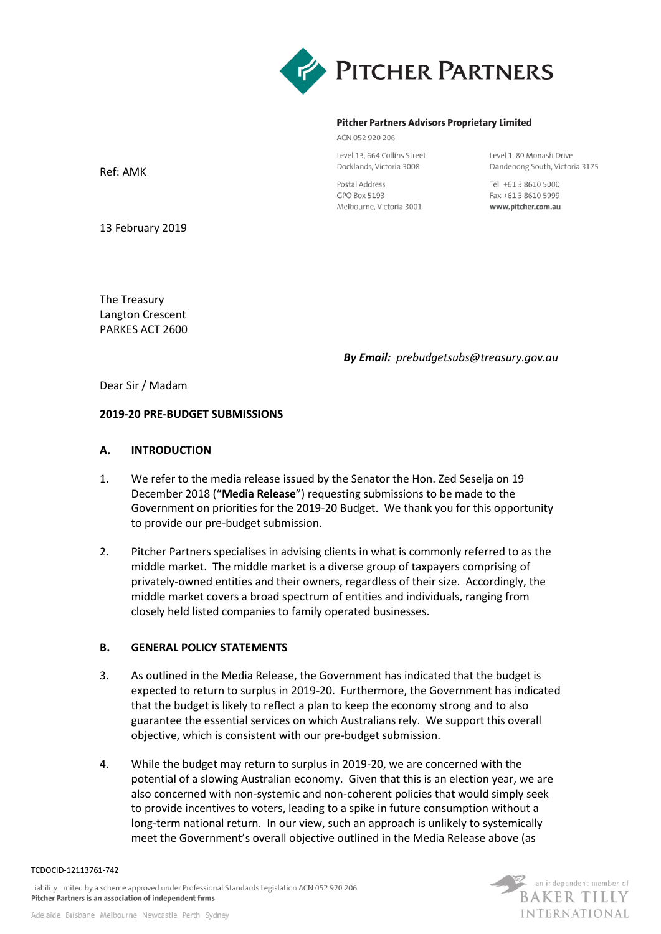

#### **Pitcher Partners Advisors Proprietary Limited**

ACN 052 920 206

Level 13, 664 Collins Street Docklands, Victoria 3008

Postal Address GPO Box 5193 Melbourne, Victoria 3001 Level 1, 80 Monash Drive Dandenong South, Victoria 3175

Tel +61 3 8610 5000 Fax +61 3 8610 5999 www.pitcher.com.au

Ref: AMK

13 February 2019

The Treasury Langton Crescent PARKES ACT 2600

*By Email: prebudgetsubs@treasury.gov.au*

Dear Sir / Madam

### **2019-20 PRE-BUDGET SUBMISSIONS**

### **A. INTRODUCTION**

- 1. We refer to the media release issued by the Senator the Hon. Zed Seselja on 19 December 2018 ("**Media Release**") requesting submissions to be made to the Government on priorities for the 2019-20 Budget. We thank you for this opportunity to provide our pre-budget submission.
- 2. Pitcher Partners specialises in advising clients in what is commonly referred to as the middle market. The middle market is a diverse group of taxpayers comprising of privately-owned entities and their owners, regardless of their size. Accordingly, the middle market covers a broad spectrum of entities and individuals, ranging from closely held listed companies to family operated businesses.

### **B. GENERAL POLICY STATEMENTS**

- 3. As outlined in the Media Release, the Government has indicated that the budget is expected to return to surplus in 2019-20. Furthermore, the Government has indicated that the budget is likely to reflect a plan to keep the economy strong and to also guarantee the essential services on which Australians rely. We support this overall objective, which is consistent with our pre-budget submission.
- 4. While the budget may return to surplus in 2019-20, we are concerned with the potential of a slowing Australian economy. Given that this is an election year, we are also concerned with non-systemic and non-coherent policies that would simply seek to provide incentives to voters, leading to a spike in future consumption without a long-term national return. In our view, such an approach is unlikely to systemically meet the Government's overall objective outlined in the Media Release above (as



Liability limited by a scheme approved under Professional Standards Legislation ACN 052 920 206 Pitcher Partners is an association of independent firms

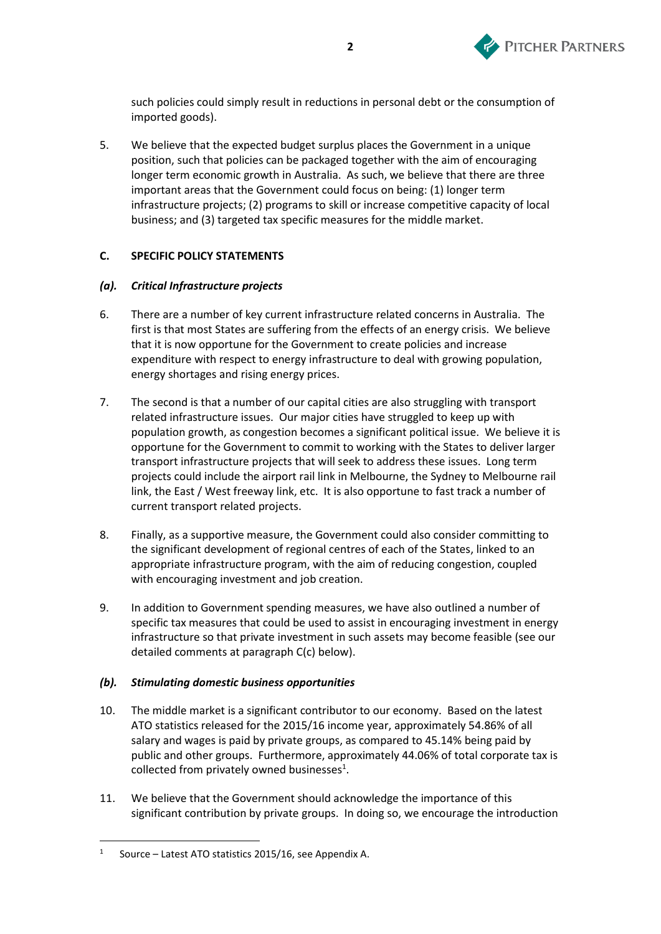

such policies could simply result in reductions in personal debt or the consumption of imported goods).

5. We believe that the expected budget surplus places the Government in a unique position, such that policies can be packaged together with the aim of encouraging longer term economic growth in Australia. As such, we believe that there are three important areas that the Government could focus on being: (1) longer term infrastructure projects; (2) programs to skill or increase competitive capacity of local business; and (3) targeted tax specific measures for the middle market.

# **C. SPECIFIC POLICY STATEMENTS**

## <span id="page-1-0"></span>*(a). Critical Infrastructure projects*

- 6. There are a number of key current infrastructure related concerns in Australia. The first is that most States are suffering from the effects of an energy crisis. We believe that it is now opportune for the Government to create policies and increase expenditure with respect to energy infrastructure to deal with growing population, energy shortages and rising energy prices.
- 7. The second is that a number of our capital cities are also struggling with transport related infrastructure issues. Our major cities have struggled to keep up with population growth, as congestion becomes a significant political issue. We believe it is opportune for the Government to commit to working with the States to deliver larger transport infrastructure projects that will seek to address these issues. Long term projects could include the airport rail link in Melbourne, the Sydney to Melbourne rail link, the East / West freeway link, etc. It is also opportune to fast track a number of current transport related projects.
- 8. Finally, as a supportive measure, the Government could also consider committing to the significant development of regional centres of each of the States, linked to an appropriate infrastructure program, with the aim of reducing congestion, coupled with encouraging investment and job creation.
- 9. In addition to Government spending measures, we have also outlined a number of specific tax measures that could be used to assist in encouraging investment in energy infrastructure so that private investment in such assets may become feasible (see our detailed comments at paragraph [C\(c\)](#page-2-0) below).

## <span id="page-1-1"></span>*(b). Stimulating domestic business opportunities*

- 10. The middle market is a significant contributor to our economy. Based on the latest ATO statistics released for the 2015/16 income year, approximately 54.86% of all salary and wages is paid by private groups, as compared to 45.14% being paid by public and other groups. Furthermore, approximately 44.06% of total corporate tax is collected from privately owned businesses<sup>1</sup>.
- 11. We believe that the Government should acknowledge the importance of this significant contribution by private groups. In doing so, we encourage the introduction

<sup>1</sup> Source – Latest ATO statistics 2015/16, see Appendix A.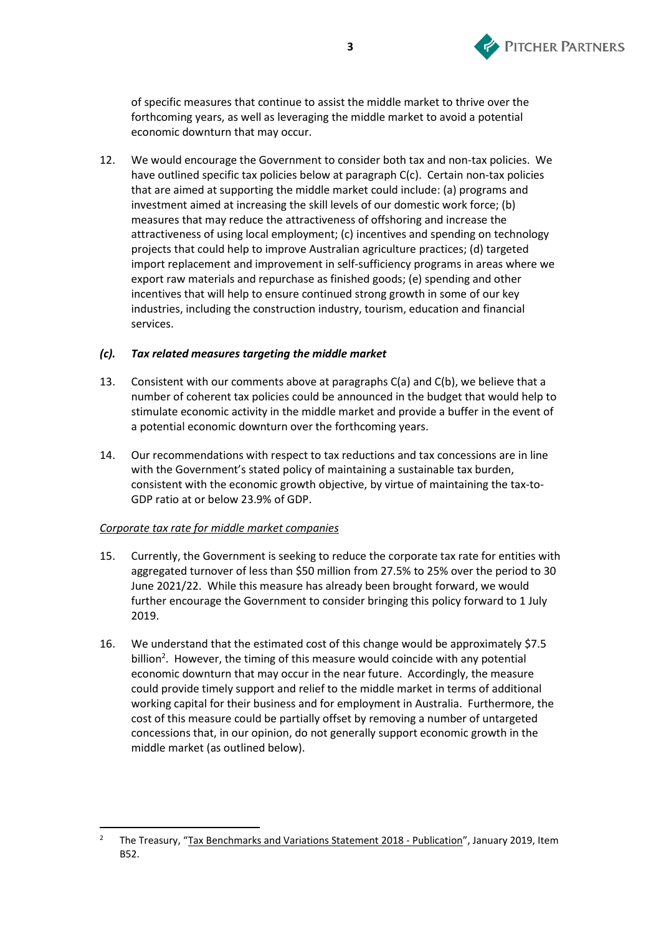

of specific measures that continue to assist the middle market to thrive over the forthcoming years, as well as leveraging the middle market to avoid a potential economic downturn that may occur.

12. We would encourage the Government to consider both tax and non-tax policies. We have outlined specific tax policies below at paragraph [C\(c\).](#page-2-0) Certain non-tax policies that are aimed at supporting the middle market could include: (a) programs and investment aimed at increasing the skill levels of our domestic work force; (b) measures that may reduce the attractiveness of offshoring and increase the attractiveness of using local employment; (c) incentives and spending on technology projects that could help to improve Australian agriculture practices; (d) targeted import replacement and improvement in self-sufficiency programs in areas where we export raw materials and repurchase as finished goods; (e) spending and other incentives that will help to ensure continued strong growth in some of our key industries, including the construction industry, tourism, education and financial services.

### <span id="page-2-0"></span>*(c). Tax related measures targeting the middle market*

- 13. Consistent with our comments above at paragraphs [C\(a\)](#page-1-0) and [C\(b\),](#page-1-1) we believe that a number of coherent tax policies could be announced in the budget that would help to stimulate economic activity in the middle market and provide a buffer in the event of a potential economic downturn over the forthcoming years.
- 14. Our recommendations with respect to tax reductions and tax concessions are in line with the Government's stated policy of maintaining a sustainable tax burden, consistent with the economic growth objective, by virtue of maintaining the tax-to-GDP ratio at or below 23.9% of GDP.

## *Corporate tax rate for middle market companies*

- 15. Currently, the Government is seeking to reduce the corporate tax rate for entities with aggregated turnover of less than \$50 million from 27.5% to 25% over the period to 30 June 2021/22. While this measure has already been brought forward, we would further encourage the Government to consider bringing this policy forward to 1 July 2019.
- 16. We understand that the estimated cost of this change would be approximately \$7.5 billion<sup>2</sup>. However, the timing of this measure would coincide with any potential economic downturn that may occur in the near future. Accordingly, the measure could provide timely support and relief to the middle market in terms of additional working capital for their business and for employment in Australia. Furthermore, the cost of this measure could be partially offset by removing a number of untargeted concessions that, in our opinion, do not generally support economic growth in the middle market (as outlined below).

<sup>&</sup>lt;sup>2</sup> The Treasury, "Tax Benchmarks and Variations Statement 2018 - Publication", January 2019, Item B52.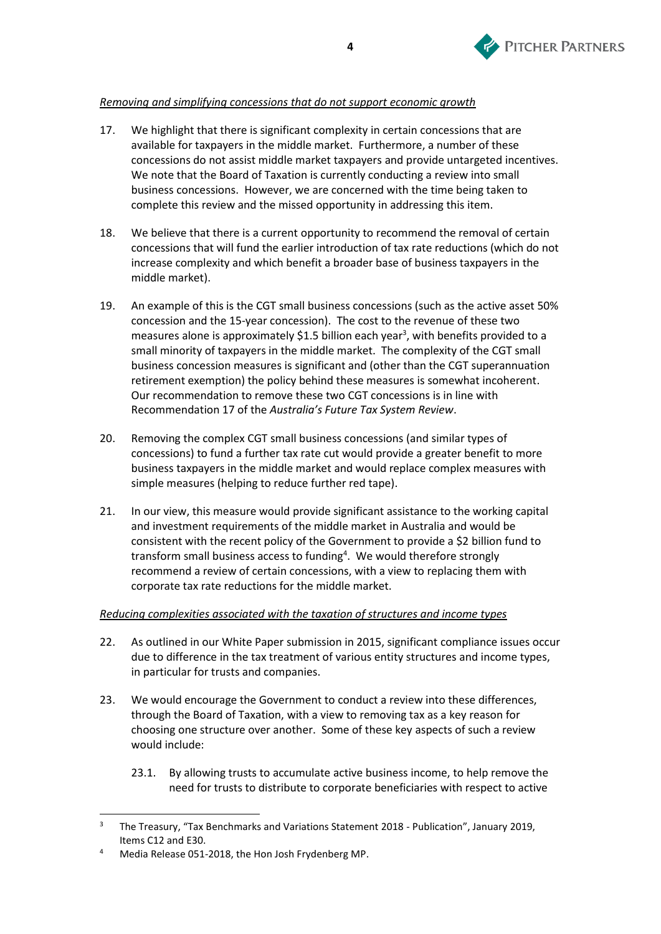

# *Removing and simplifying concessions that do not support economic growth*

- 17. We highlight that there is significant complexity in certain concessions that are available for taxpayers in the middle market. Furthermore, a number of these concessions do not assist middle market taxpayers and provide untargeted incentives. We note that the Board of Taxation is currently conducting a review into small business concessions. However, we are concerned with the time being taken to complete this review and the missed opportunity in addressing this item.
- 18. We believe that there is a current opportunity to recommend the removal of certain concessions that will fund the earlier introduction of tax rate reductions (which do not increase complexity and which benefit a broader base of business taxpayers in the middle market).
- 19. An example of this is the CGT small business concessions (such as the active asset 50% concession and the 15-year concession). The cost to the revenue of these two measures alone is approximately \$1.5 billion each year<sup>3</sup>, with benefits provided to a small minority of taxpayers in the middle market. The complexity of the CGT small business concession measures is significant and (other than the CGT superannuation retirement exemption) the policy behind these measures is somewhat incoherent. Our recommendation to remove these two CGT concessions is in line with Recommendation 17 of the *Australia's Future Tax System Review*.
- 20. Removing the complex CGT small business concessions (and similar types of concessions) to fund a further tax rate cut would provide a greater benefit to more business taxpayers in the middle market and would replace complex measures with simple measures (helping to reduce further red tape).
- 21. In our view, this measure would provide significant assistance to the working capital and investment requirements of the middle market in Australia and would be consistent with the recent policy of the Government to provide a \$2 billion fund to transform small business access to funding<sup>4</sup>. We would therefore strongly recommend a review of certain concessions, with a view to replacing them with corporate tax rate reductions for the middle market.

## *Reducing complexities associated with the taxation of structures and income types*

- 22. As outlined in our White Paper submission in 2015, significant compliance issues occur due to difference in the tax treatment of various entity structures and income types, in particular for trusts and companies.
- 23. We would encourage the Government to conduct a review into these differences, through the Board of Taxation, with a view to removing tax as a key reason for choosing one structure over another. Some of these key aspects of such a review would include:
	- 23.1. By allowing trusts to accumulate active business income, to help remove the need for trusts to distribute to corporate beneficiaries with respect to active

<sup>&</sup>lt;sup>3</sup> The Treasury, "Tax Benchmarks and Variations Statement 2018 - Publication", January 2019, Items C12 and E30.

<sup>4</sup> Media Release 051-2018, the Hon Josh Frydenberg MP.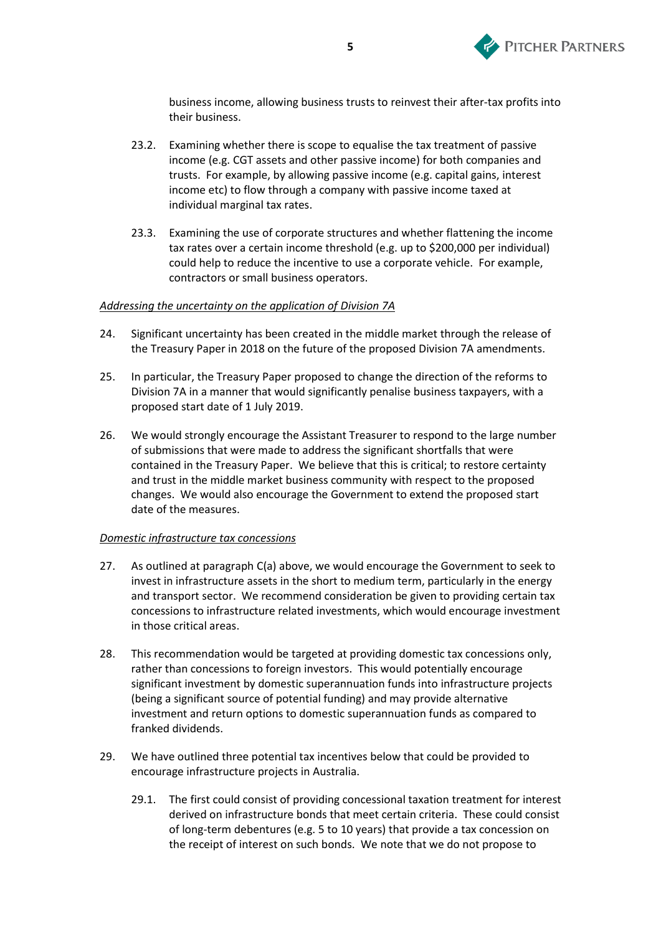

business income, allowing business trusts to reinvest their after-tax profits into their business.

- 23.2. Examining whether there is scope to equalise the tax treatment of passive income (e.g. CGT assets and other passive income) for both companies and trusts. For example, by allowing passive income (e.g. capital gains, interest income etc) to flow through a company with passive income taxed at individual marginal tax rates.
- 23.3. Examining the use of corporate structures and whether flattening the income tax rates over a certain income threshold (e.g. up to \$200,000 per individual) could help to reduce the incentive to use a corporate vehicle. For example, contractors or small business operators.

### *Addressing the uncertainty on the application of Division 7A*

- 24. Significant uncertainty has been created in the middle market through the release of the Treasury Paper in 2018 on the future of the proposed Division 7A amendments.
- 25. In particular, the Treasury Paper proposed to change the direction of the reforms to Division 7A in a manner that would significantly penalise business taxpayers, with a proposed start date of 1 July 2019.
- 26. We would strongly encourage the Assistant Treasurer to respond to the large number of submissions that were made to address the significant shortfalls that were contained in the Treasury Paper. We believe that this is critical; to restore certainty and trust in the middle market business community with respect to the proposed changes. We would also encourage the Government to extend the proposed start date of the measures.

#### *Domestic infrastructure tax concessions*

- 27. As outlined at paragraph [C\(a\)](#page-1-0) above, we would encourage the Government to seek to invest in infrastructure assets in the short to medium term, particularly in the energy and transport sector. We recommend consideration be given to providing certain tax concessions to infrastructure related investments, which would encourage investment in those critical areas.
- 28. This recommendation would be targeted at providing domestic tax concessions only, rather than concessions to foreign investors. This would potentially encourage significant investment by domestic superannuation funds into infrastructure projects (being a significant source of potential funding) and may provide alternative investment and return options to domestic superannuation funds as compared to franked dividends.
- 29. We have outlined three potential tax incentives below that could be provided to encourage infrastructure projects in Australia.
	- 29.1. The first could consist of providing concessional taxation treatment for interest derived on infrastructure bonds that meet certain criteria. These could consist of long-term debentures (e.g. 5 to 10 years) that provide a tax concession on the receipt of interest on such bonds. We note that we do not propose to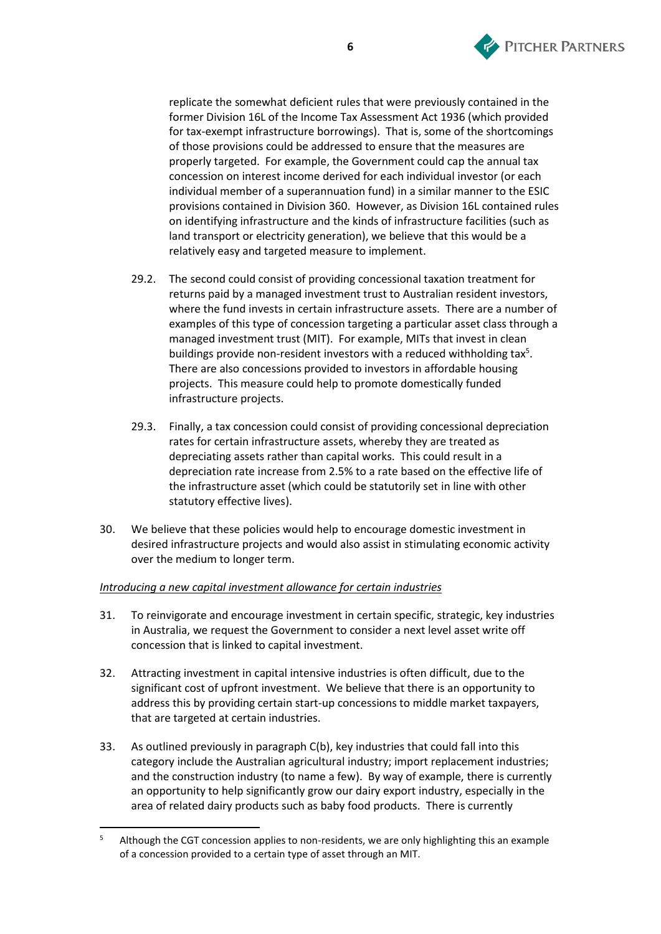

replicate the somewhat deficient rules that were previously contained in the former Division 16L of the Income Tax Assessment Act 1936 (which provided for tax-exempt infrastructure borrowings). That is, some of the shortcomings of those provisions could be addressed to ensure that the measures are properly targeted. For example, the Government could cap the annual tax concession on interest income derived for each individual investor (or each individual member of a superannuation fund) in a similar manner to the ESIC provisions contained in Division 360. However, as Division 16L contained rules on identifying infrastructure and the kinds of infrastructure facilities (such as land transport or electricity generation), we believe that this would be a relatively easy and targeted measure to implement.

- 29.2. The second could consist of providing concessional taxation treatment for returns paid by a managed investment trust to Australian resident investors, where the fund invests in certain infrastructure assets. There are a number of examples of this type of concession targeting a particular asset class through a managed investment trust (MIT). For example, MITs that invest in clean buildings provide non-resident investors with a reduced withholding tax<sup>5</sup>. There are also concessions provided to investors in affordable housing projects. This measure could help to promote domestically funded infrastructure projects.
- 29.3. Finally, a tax concession could consist of providing concessional depreciation rates for certain infrastructure assets, whereby they are treated as depreciating assets rather than capital works. This could result in a depreciation rate increase from 2.5% to a rate based on the effective life of the infrastructure asset (which could be statutorily set in line with other statutory effective lives).
- 30. We believe that these policies would help to encourage domestic investment in desired infrastructure projects and would also assist in stimulating economic activity over the medium to longer term.

## *Introducing a new capital investment allowance for certain industries*

- 31. To reinvigorate and encourage investment in certain specific, strategic, key industries in Australia, we request the Government to consider a next level asset write off concession that is linked to capital investment.
- 32. Attracting investment in capital intensive industries is often difficult, due to the significant cost of upfront investment. We believe that there is an opportunity to address this by providing certain start-up concessions to middle market taxpayers, that are targeted at certain industries.
- 33. As outlined previously in paragraph [C\(b\),](#page-1-1) key industries that could fall into this category include the Australian agricultural industry; import replacement industries; and the construction industry (to name a few). By way of example, there is currently an opportunity to help significantly grow our dairy export industry, especially in the area of related dairy products such as baby food products. There is currently

<sup>&</sup>lt;sup>5</sup> Although the CGT concession applies to non-residents, we are only highlighting this an example of a concession provided to a certain type of asset through an MIT.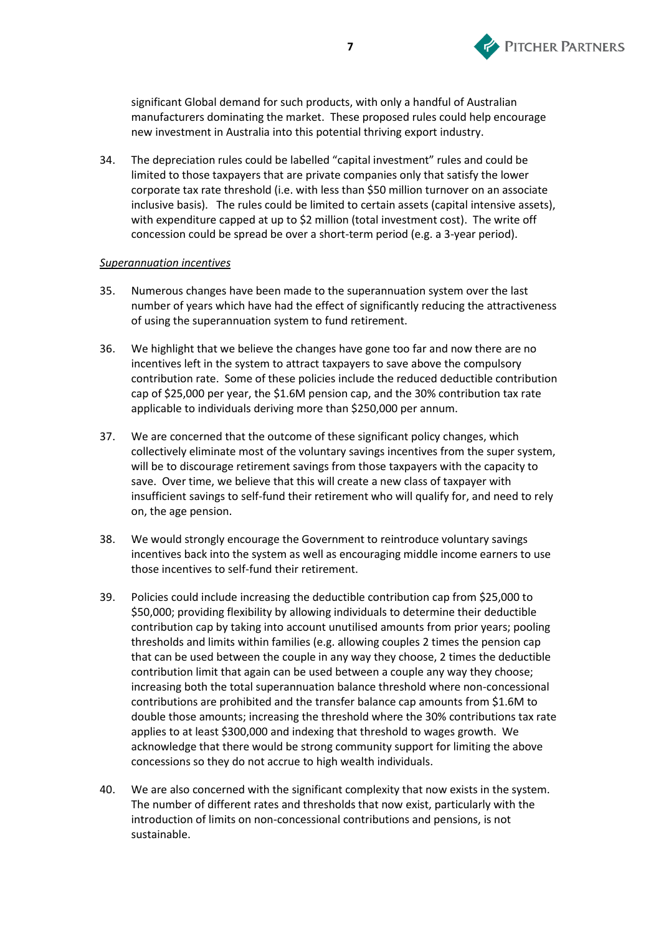

significant Global demand for such products, with only a handful of Australian manufacturers dominating the market. These proposed rules could help encourage new investment in Australia into this potential thriving export industry.

34. The depreciation rules could be labelled "capital investment" rules and could be limited to those taxpayers that are private companies only that satisfy the lower corporate tax rate threshold (i.e. with less than \$50 million turnover on an associate inclusive basis). The rules could be limited to certain assets (capital intensive assets), with expenditure capped at up to \$2 million (total investment cost). The write off concession could be spread be over a short-term period (e.g. a 3-year period).

### *Superannuation incentives*

- 35. Numerous changes have been made to the superannuation system over the last number of years which have had the effect of significantly reducing the attractiveness of using the superannuation system to fund retirement.
- 36. We highlight that we believe the changes have gone too far and now there are no incentives left in the system to attract taxpayers to save above the compulsory contribution rate. Some of these policies include the reduced deductible contribution cap of \$25,000 per year, the \$1.6M pension cap, and the 30% contribution tax rate applicable to individuals deriving more than \$250,000 per annum.
- 37. We are concerned that the outcome of these significant policy changes, which collectively eliminate most of the voluntary savings incentives from the super system, will be to discourage retirement savings from those taxpayers with the capacity to save. Over time, we believe that this will create a new class of taxpayer with insufficient savings to self-fund their retirement who will qualify for, and need to rely on, the age pension.
- 38. We would strongly encourage the Government to reintroduce voluntary savings incentives back into the system as well as encouraging middle income earners to use those incentives to self-fund their retirement.
- 39. Policies could include increasing the deductible contribution cap from \$25,000 to \$50,000; providing flexibility by allowing individuals to determine their deductible contribution cap by taking into account unutilised amounts from prior years; pooling thresholds and limits within families (e.g. allowing couples 2 times the pension cap that can be used between the couple in any way they choose, 2 times the deductible contribution limit that again can be used between a couple any way they choose; increasing both the total superannuation balance threshold where non-concessional contributions are prohibited and the transfer balance cap amounts from \$1.6M to double those amounts; increasing the threshold where the 30% contributions tax rate applies to at least \$300,000 and indexing that threshold to wages growth. We acknowledge that there would be strong community support for limiting the above concessions so they do not accrue to high wealth individuals.
- 40. We are also concerned with the significant complexity that now exists in the system. The number of different rates and thresholds that now exist, particularly with the introduction of limits on non-concessional contributions and pensions, is not sustainable.